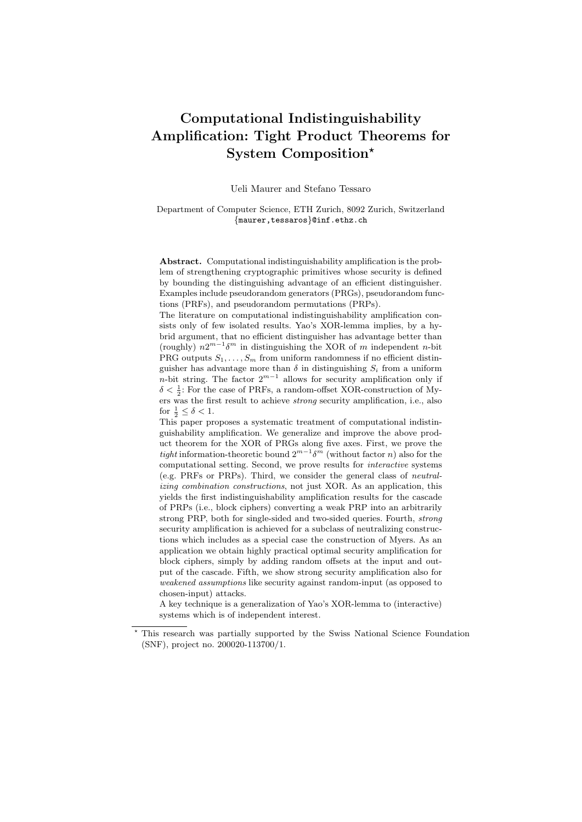# Computational Indistinguishability Amplification: Tight Product Theorems for System Composition?

Ueli Maurer and Stefano Tessaro

Department of Computer Science, ETH Zurich, 8092 Zurich, Switzerland {maurer,tessaros}@inf.ethz.ch

Abstract. Computational indistinguishability amplification is the problem of strengthening cryptographic primitives whose security is defined by bounding the distinguishing advantage of an efficient distinguisher. Examples include pseudorandom generators (PRGs), pseudorandom functions (PRFs), and pseudorandom permutations (PRPs).

The literature on computational indistinguishability amplification consists only of few isolated results. Yao's XOR-lemma implies, by a hybrid argument, that no efficient distinguisher has advantage better than (roughly)  $n2^{m-1}\delta^m$  in distinguishing the XOR of m independent n-bit PRG outputs  $S_1, \ldots, S_m$  from uniform randomness if no efficient distinguisher has advantage more than  $\delta$  in distinguishing  $S_i$  from a uniform n-bit string. The factor  $2^{m-1}$  allows for security amplification only if  $\delta<\frac{1}{2}.$  For the case of PRFs, a random-offset XOR-construction of Myers was the first result to achieve strong security amplification, i.e., also for  $\frac{1}{2} \leq \delta < 1$ .

This paper proposes a systematic treatment of computational indistinguishability amplification. We generalize and improve the above product theorem for the XOR of PRGs along five axes. First, we prove the tight information-theoretic bound  $2^{m-1}\delta^m$  (without factor n) also for the computational setting. Second, we prove results for interactive systems (e.g. PRFs or PRPs). Third, we consider the general class of neutralizing combination constructions, not just XOR. As an application, this yields the first indistinguishability amplification results for the cascade of PRPs (i.e., block ciphers) converting a weak PRP into an arbitrarily strong PRP, both for single-sided and two-sided queries. Fourth, strong security amplification is achieved for a subclass of neutralizing constructions which includes as a special case the construction of Myers. As an application we obtain highly practical optimal security amplification for block ciphers, simply by adding random offsets at the input and output of the cascade. Fifth, we show strong security amplification also for weakened assumptions like security against random-input (as opposed to chosen-input) attacks.

A key technique is a generalization of Yao's XOR-lemma to (interactive) systems which is of independent interest.

<sup>?</sup> This research was partially supported by the Swiss National Science Foundation (SNF), project no. 200020-113700/1.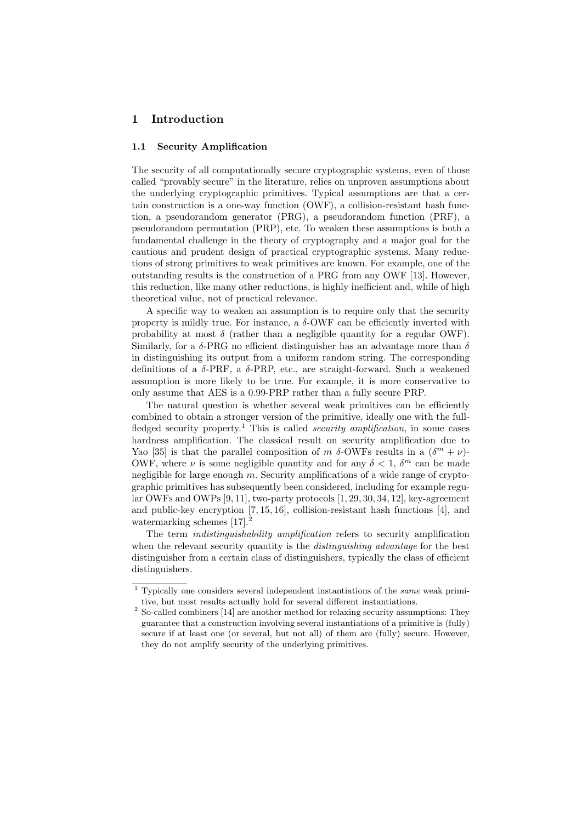# 1 Introduction

### 1.1 Security Amplification

The security of all computationally secure cryptographic systems, even of those called "provably secure" in the literature, relies on unproven assumptions about the underlying cryptographic primitives. Typical assumptions are that a certain construction is a one-way function (OWF), a collision-resistant hash function, a pseudorandom generator (PRG), a pseudorandom function (PRF), a pseudorandom permutation (PRP), etc. To weaken these assumptions is both a fundamental challenge in the theory of cryptography and a major goal for the cautious and prudent design of practical cryptographic systems. Many reductions of strong primitives to weak primitives are known. For example, one of the outstanding results is the construction of a PRG from any OWF [13]. However, this reduction, like many other reductions, is highly inefficient and, while of high theoretical value, not of practical relevance.

A specific way to weaken an assumption is to require only that the security property is mildly true. For instance, a  $\delta$ -OWF can be efficiently inverted with probability at most  $\delta$  (rather than a negligible quantity for a regular OWF). Similarly, for a  $\delta$ -PRG no efficient distinguisher has an advantage more than  $\delta$ in distinguishing its output from a uniform random string. The corresponding definitions of a  $\delta$ -PRF, a  $\delta$ -PRP, etc., are straight-forward. Such a weakened assumption is more likely to be true. For example, it is more conservative to only assume that AES is a 0.99-PRP rather than a fully secure PRP.

The natural question is whether several weak primitives can be efficiently combined to obtain a stronger version of the primitive, ideally one with the fullfledged security property.<sup>1</sup> This is called *security amplification*, in some cases hardness amplification. The classical result on security amplification due to Yao [35] is that the parallel composition of m  $\delta$ -OWFs results in a  $(\delta^m + \nu)$ -OWF, where  $\nu$  is some negligible quantity and for any  $\delta < 1$ ,  $\delta^m$  can be made negligible for large enough  $m$ . Security amplifications of a wide range of cryptographic primitives has subsequently been considered, including for example regular OWFs and OWPs [9, 11], two-party protocols [1, 29, 30, 34, 12], key-agreement and public-key encryption [7, 15, 16], collision-resistant hash functions [4], and watermarking schemes [17].<sup>2</sup>

The term *indistinguishability amplification* refers to security amplification when the relevant security quantity is the *distinguishing advantage* for the best distinguisher from a certain class of distinguishers, typically the class of efficient distinguishers.

<sup>1</sup> Typically one considers several independent instantiations of the same weak primitive, but most results actually hold for several different instantiations.

 $2$  So-called combiners [14] are another method for relaxing security assumptions: They guarantee that a construction involving several instantiations of a primitive is (fully) secure if at least one (or several, but not all) of them are (fully) secure. However, they do not amplify security of the underlying primitives.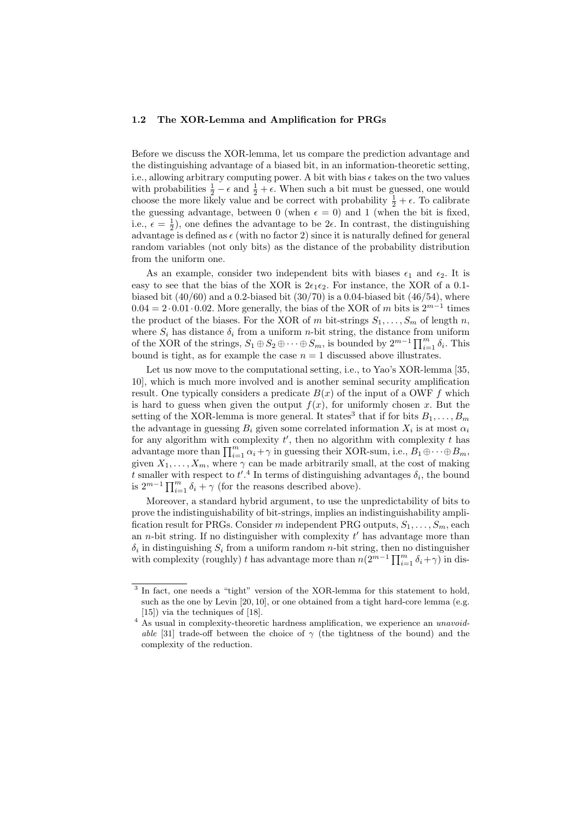#### 1.2 The XOR-Lemma and Amplification for PRGs

Before we discuss the XOR-lemma, let us compare the prediction advantage and the distinguishing advantage of a biased bit, in an information-theoretic setting, i.e., allowing arbitrary computing power. A bit with bias  $\epsilon$  takes on the two values with probabilities  $\frac{1}{2} - \epsilon$  and  $\frac{1}{2} + \epsilon$ . When such a bit must be guessed, one would choose the more likely value and be correct with probability  $\frac{1}{2} + \epsilon$ . To calibrate the guessing advantage, between 0 (when  $\epsilon = 0$ ) and 1 (when the bit is fixed, i.e.,  $\epsilon = \frac{1}{2}$ , one defines the advantage to be  $2\epsilon$ . In contrast, the distinguishing advantage is defined as  $\epsilon$  (with no factor 2) since it is naturally defined for general random variables (not only bits) as the distance of the probability distribution from the uniform one.

As an example, consider two independent bits with biases  $\epsilon_1$  and  $\epsilon_2$ . It is easy to see that the bias of the XOR is  $2\epsilon_1\epsilon_2$ . For instance, the XOR of a 0.1biased bit  $(40/60)$  and a 0.2-biased bit  $(30/70)$  is a 0.04-biased bit  $(46/54)$ , where  $0.04 = 2 \cdot 0.01 \cdot 0.02$ . More generally, the bias of the XOR of m bits is  $2^{m-1}$  times the product of the biases. For the XOR of m bit-strings  $S_1, \ldots, S_m$  of length n, where  $S_i$  has distance  $\delta_i$  from a uniform n-bit string, the distance from uniform of the XOR of the strings,  $S_1 \oplus S_2 \oplus \cdots \oplus S_m$ , is bounded by  $2^{m-1} \prod_{i=1}^m \delta_i$ . This bound is tight, as for example the case  $n = 1$  discussed above illustrates.

Let us now move to the computational setting, i.e., to Yao's XOR-lemma [35, 10], which is much more involved and is another seminal security amplification result. One typically considers a predicate  $B(x)$  of the input of a OWF f which is hard to guess when given the output  $f(x)$ , for uniformly chosen x. But the setting of the XOR-lemma is more general. It states<sup>3</sup> that if for bits  $B_1, \ldots, B_m$ the advantage in guessing  $B_i$  given some correlated information  $X_i$  is at most  $\alpha_i$ for any algorithm with complexity  $t'$ , then no algorithm with complexity  $t$  has advantage more than  $\prod_{i=1}^{m} \alpha_i + \gamma$  in guessing their XOR-sum, i.e.,  $B_1 \oplus \cdots \oplus B_m$ , given  $X_1, \ldots, X_m$ , where  $\gamma$  can be made arbitrarily small, at the cost of making t smaller with respect to  $t'.<sup>4</sup>$  In terms of distinguishing advantages  $\delta_i$ , the bound is  $2^{m-1} \prod_{i=1}^{m} \delta_i + \gamma$  (for the reasons described above).

Moreover, a standard hybrid argument, to use the unpredictability of bits to prove the indistinguishability of bit-strings, implies an indistinguishability amplification result for PRGs. Consider m independent PRG outputs,  $S_1, \ldots, S_m$ , each an *n*-bit string. If no distinguisher with complexity  $t'$  has advantage more than  $\delta_i$  in distinguishing  $S_i$  from a uniform random *n*-bit string, then no distinguisher with complexity (roughly) t has advantage more than  $n(2^{m-1} \prod_{i=1}^{m} \delta_i + \gamma)$  in dis-

<sup>&</sup>lt;sup>3</sup> In fact, one needs a "tight" version of the XOR-lemma for this statement to hold, such as the one by Levin [20, 10], or one obtained from a tight hard-core lemma (e.g. [15]) via the techniques of [18].

<sup>&</sup>lt;sup>4</sup> As usual in complexity-theoretic hardness amplification, we experience an *unavoid*able [31] trade-off between the choice of  $\gamma$  (the tightness of the bound) and the complexity of the reduction.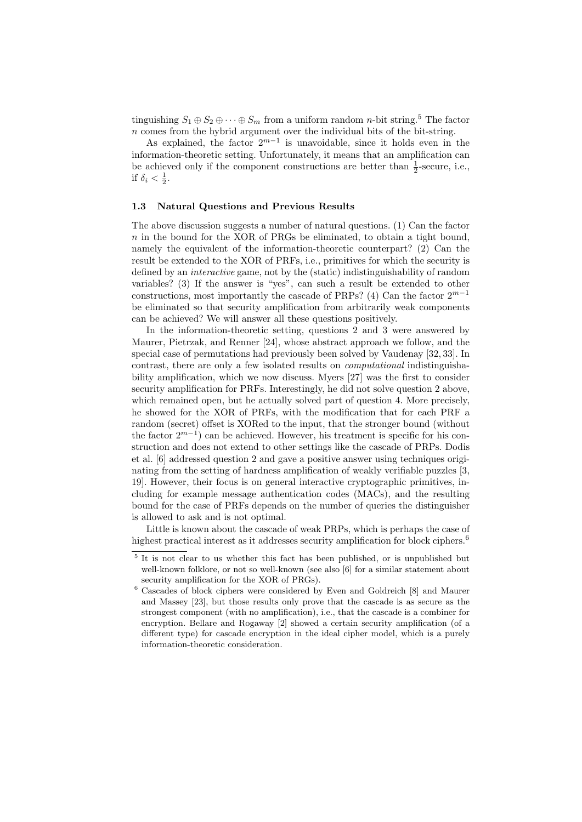tinguishing  $S_1 \oplus S_2 \oplus \cdots \oplus S_m$  from a uniform random *n*-bit string.<sup>5</sup> The factor n comes from the hybrid argument over the individual bits of the bit-string.

As explained, the factor  $2^{m-1}$  is unavoidable, since it holds even in the information-theoretic setting. Unfortunately, it means that an amplification can be achieved only if the component constructions are better than  $\frac{1}{2}$ -secure, i.e., if  $\delta_i < \frac{1}{2}$ .

### 1.3 Natural Questions and Previous Results

The above discussion suggests a number of natural questions. (1) Can the factor  $n$  in the bound for the XOR of PRGs be eliminated, to obtain a tight bound, namely the equivalent of the information-theoretic counterpart? (2) Can the result be extended to the XOR of PRFs, i.e., primitives for which the security is defined by an interactive game, not by the (static) indistinguishability of random variables? (3) If the answer is "yes", can such a result be extended to other constructions, most importantly the cascade of PRPs? (4) Can the factor  $2^{m-1}$ be eliminated so that security amplification from arbitrarily weak components can be achieved? We will answer all these questions positively.

In the information-theoretic setting, questions 2 and 3 were answered by Maurer, Pietrzak, and Renner [24], whose abstract approach we follow, and the special case of permutations had previously been solved by Vaudenay [32, 33]. In contrast, there are only a few isolated results on computational indistinguishability amplification, which we now discuss. Myers [27] was the first to consider security amplification for PRFs. Interestingly, he did not solve question 2 above, which remained open, but he actually solved part of question 4. More precisely, he showed for the XOR of PRFs, with the modification that for each PRF a random (secret) offset is XORed to the input, that the stronger bound (without the factor  $2^{m-1}$ ) can be achieved. However, his treatment is specific for his construction and does not extend to other settings like the cascade of PRPs. Dodis et al. [6] addressed question 2 and gave a positive answer using techniques originating from the setting of hardness amplification of weakly verifiable puzzles [3, 19]. However, their focus is on general interactive cryptographic primitives, including for example message authentication codes (MACs), and the resulting bound for the case of PRFs depends on the number of queries the distinguisher is allowed to ask and is not optimal.

Little is known about the cascade of weak PRPs, which is perhaps the case of highest practical interest as it addresses security amplification for block ciphers.<sup>6</sup>

<sup>&</sup>lt;sup>5</sup> It is not clear to us whether this fact has been published, or is unpublished but well-known folklore, or not so well-known (see also [6] for a similar statement about security amplification for the XOR of PRGs).

<sup>6</sup> Cascades of block ciphers were considered by Even and Goldreich [8] and Maurer and Massey [23], but those results only prove that the cascade is as secure as the strongest component (with no amplification), i.e., that the cascade is a combiner for encryption. Bellare and Rogaway [2] showed a certain security amplification (of a different type) for cascade encryption in the ideal cipher model, which is a purely information-theoretic consideration.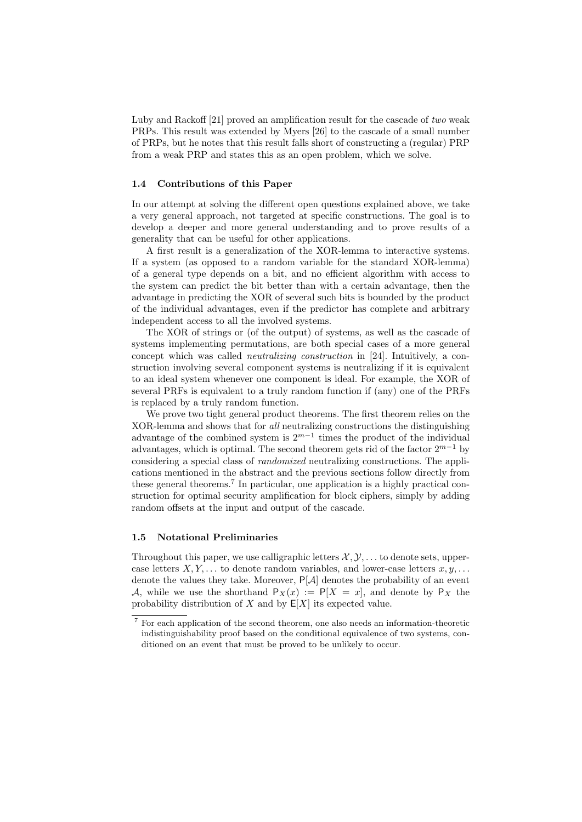Luby and Rackoff [21] proved an amplification result for the cascade of two weak PRPs. This result was extended by Myers [26] to the cascade of a small number of PRPs, but he notes that this result falls short of constructing a (regular) PRP from a weak PRP and states this as an open problem, which we solve.

### 1.4 Contributions of this Paper

In our attempt at solving the different open questions explained above, we take a very general approach, not targeted at specific constructions. The goal is to develop a deeper and more general understanding and to prove results of a generality that can be useful for other applications.

A first result is a generalization of the XOR-lemma to interactive systems. If a system (as opposed to a random variable for the standard XOR-lemma) of a general type depends on a bit, and no efficient algorithm with access to the system can predict the bit better than with a certain advantage, then the advantage in predicting the XOR of several such bits is bounded by the product of the individual advantages, even if the predictor has complete and arbitrary independent access to all the involved systems.

The XOR of strings or (of the output) of systems, as well as the cascade of systems implementing permutations, are both special cases of a more general concept which was called neutralizing construction in [24]. Intuitively, a construction involving several component systems is neutralizing if it is equivalent to an ideal system whenever one component is ideal. For example, the XOR of several PRFs is equivalent to a truly random function if (any) one of the PRFs is replaced by a truly random function.

We prove two tight general product theorems. The first theorem relies on the XOR-lemma and shows that for all neutralizing constructions the distinguishing advantage of the combined system is  $2^{m-1}$  times the product of the individual advantages, which is optimal. The second theorem gets rid of the factor  $2^{m-1}$  by considering a special class of randomized neutralizing constructions. The applications mentioned in the abstract and the previous sections follow directly from these general theorems.<sup>7</sup> In particular, one application is a highly practical construction for optimal security amplification for block ciphers, simply by adding random offsets at the input and output of the cascade.

### 1.5 Notational Preliminaries

Throughout this paper, we use calligraphic letters  $\mathcal{X}, \mathcal{Y}, \ldots$  to denote sets, uppercase letters  $X, Y, \ldots$  to denote random variables, and lower-case letters  $x, y, \ldots$ denote the values they take. Moreover,  $P[A]$  denotes the probability of an event A, while we use the shorthand  $P_X(x) := P[X = x]$ , and denote by  $P_X$  the probability distribution of X and by  $E[X]$  its expected value.

<sup>7</sup> For each application of the second theorem, one also needs an information-theoretic indistinguishability proof based on the conditional equivalence of two systems, conditioned on an event that must be proved to be unlikely to occur.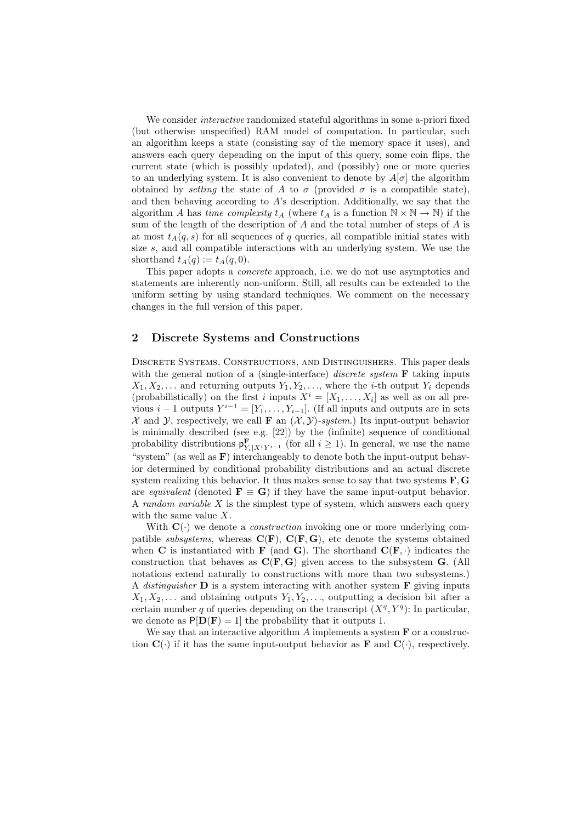We consider *interactive* randomized stateful algorithms in some a-priori fixed (but otherwise unspecified) RAM model of computation. In particular, such an algorithm keeps a state (consisting say of the memory space it uses), and answers each query depending on the input of this query, some coin flips, the current state (which is possibly updated), and (possibly) one or more queries to an underlying system. It is also convenient to denote by  $A[\sigma]$  the algorithm obtained by *setting* the state of A to  $\sigma$  (provided  $\sigma$  is a compatible state), and then behaving according to A's description. Additionally, we say that the algorithm A has time complexity  $t_A$  (where  $t_A$  is a function  $\mathbb{N} \times \mathbb{N} \to \mathbb{N}$ ) if the sum of the length of the description of  $A$  and the total number of steps of  $A$  is at most  $t_A(q, s)$  for all sequences of q queries, all compatible initial states with size s, and all compatible interactions with an underlying system. We use the shorthand  $t_A(q) := t_A(q, 0)$ .

This paper adopts a concrete approach, i.e. we do not use asymptotics and statements are inherently non-uniform. Still, all results can be extended to the uniform setting by using standard techniques. We comment on the necessary changes in the full version of this paper.

## 2 Discrete Systems and Constructions

Discrete Systems, Constructions, and Distinguishers. This paper deals with the general notion of a (single-interface) *discrete system*  $\bf{F}$  taking inputs  $X_1, X_2, \ldots$  and returning outputs  $Y_1, Y_2, \ldots$ , where the *i*-th output  $Y_i$  depends (probabilistically) on the first i inputs  $X^i = [X_1, \ldots, X_i]$  as well as on all previous  $i-1$  outputs  $Y^{i-1} = [Y_1, \ldots, Y_{i-1}]$ . (If all inputs and outputs are in sets  $\mathcal X$  and  $\mathcal Y$ , respectively, we call **F** an  $(\mathcal X, \mathcal Y)$ -system.) Its input-output behavior is minimally described (see e.g. [22]) by the (infinite) sequence of conditional probability distributions  $\mathbf{p}_{Y_i|X^iY^{i-1}}^{\mathbf{F}}$  (for all  $i \geq 1$ ). In general, we use the name "system" (as well as  $\bf{F}$ ) interchangeably to denote both the input-output behavior determined by conditional probability distributions and an actual discrete system realizing this behavior. It thus makes sense to say that two systems  $\mathbf{F}, \mathbf{G}$ are equivalent (denoted  $\mathbf{F} \equiv \mathbf{G}$ ) if they have the same input-output behavior. A random variable  $X$  is the simplest type of system, which answers each query with the same value X.

With  $\mathbf{C}(\cdot)$  we denote a *construction* invoking one or more underlying compatible *subsystems*, whereas  $\mathbf{C}(\mathbf{F})$ ,  $\mathbf{C}(\mathbf{F}, \mathbf{G})$ , etc denote the systems obtained when C is instantiated with **F** (and **G**). The shorthand  $\mathbf{C}(\mathbf{F}, \cdot)$  indicates the construction that behaves as  $C(F, G)$  given access to the subsystem  $G$ . (All notations extend naturally to constructions with more than two subsystems.) A distinguisher  $\bf{D}$  is a system interacting with another system  $\bf{F}$  giving inputs  $X_1, X_2, \ldots$  and obtaining outputs  $Y_1, Y_2, \ldots$ , outputting a decision bit after a certain number q of queries depending on the transcript  $(X^q, Y^q)$ : In particular, we denote as  $P[D(F) = 1]$  the probability that it outputs 1.

We say that an interactive algorithm  $\tilde{A}$  implements a system  $\bf{F}$  or a construction  $\mathbf{C}(\cdot)$  if it has the same input-output behavior as **F** and  $\mathbf{C}(\cdot)$ , respectively.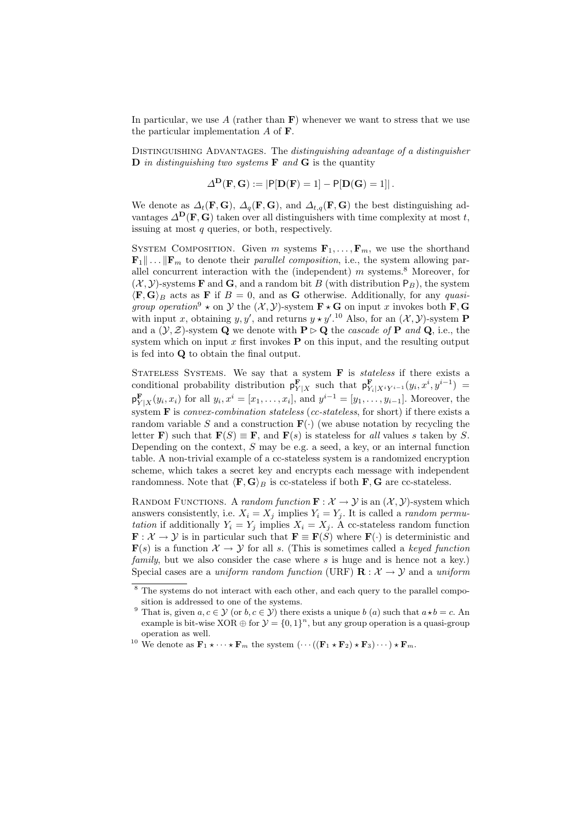In particular, we use A (rather than  $\bf{F}$ ) whenever we want to stress that we use the particular implementation  $A$  of  $\bf{F}$ .

DISTINGUISHING ADVANTAGES. The distinguishing advantage of a distinguisher **D** in distinguishing two systems **F** and **G** is the quantity

$$
\Delta^{\mathbf{D}}(\mathbf{F}, \mathbf{G}) := |\mathsf{P}[\mathbf{D}(\mathbf{F}) = 1] - \mathsf{P}[\mathbf{D}(\mathbf{G}) = 1]|.
$$

We denote as  $\Delta_t(\mathbf{F}, \mathbf{G})$ ,  $\Delta_q(\mathbf{F}, \mathbf{G})$ , and  $\Delta_{t,q}(\mathbf{F}, \mathbf{G})$  the best distinguishing advantages  $\Delta^{D}(F, G)$  taken over all distinguishers with time complexity at most t, issuing at most  $q$  queries, or both, respectively.

SYSTEM COMPOSITION. Given  $m$  systems  $\mathbf{F}_1, \ldots, \mathbf{F}_m$ , we use the shorthand  $\mathbf{F}_1 \| \dots \| \mathbf{F}_m$  to denote their parallel composition, i.e., the system allowing parallel concurrent interaction with the (independent)  $m$  systems.<sup>8</sup> Moreover, for  $(X, Y)$ -systems **F** and **G**, and a random bit B (with distribution  $P_B$ ), the system  $\langle \mathbf{F}, \mathbf{G} \rangle_B$  acts as **F** if  $B = 0$ , and as **G** otherwise. Additionally, for any *quasigroup operation*<sup>9</sup>  $\star$  on  $\mathcal Y$  the  $(\mathcal X, \mathcal Y)$ -system  $\mathbf F \star \mathbf G$  on input x invokes both  $\mathbf F, \mathbf G$ with input x, obtaining y, y', and returns  $y \star y'$ .<sup>10</sup> Also, for an  $(\mathcal{X}, \mathcal{Y})$ -system **P** and a  $(\mathcal{Y}, \mathcal{Z})$ -system **Q** we denote with  $P \triangleright Q$  the *cascade of* P and Q, i.e., the system which on input  $x$  first invokes  $P$  on this input, and the resulting output is fed into Q to obtain the final output.

STATELESS SYSTEMS. We say that a system  $\bf{F}$  is *stateless* if there exists a conditional probability distribution  $\mathbf{p}_{Y|X}^{\mathbf{F}}$  such that  $\mathbf{p}_{Y_i|X^iY^{i-1}}^{\mathbf{F}}(y_i,x^i,y^{i-1}) =$  $\mathsf{p}_{Y|X}^{\mathbf{F}}(y_i, x_i)$  for all  $y_i, x^i = [x_1, \ldots, x_i]$ , and  $y^{i-1} = [y_1, \ldots, y_{i-1}]$ . Moreover, the system  $\bf{F}$  is *convex-combination stateless* (*cc-stateless*, for short) if there exists a random variable S and a construction  $\mathbf{F}(\cdot)$  (we abuse notation by recycling the letter **F**) such that  $\mathbf{F}(S) \equiv \mathbf{F}$ , and  $\mathbf{F}(s)$  is stateless for all values s taken by S. Depending on the context,  $S$  may be e.g. a seed, a key, or an internal function table. A non-trivial example of a cc-stateless system is a randomized encryption scheme, which takes a secret key and encrypts each message with independent randomness. Note that  $\langle \mathbf{F}, \mathbf{G} \rangle_B$  is cc-stateless if both  $\mathbf{F}, \mathbf{G}$  are cc-stateless.

RANDOM FUNCTIONS. A random function  $\mathbf{F} : \mathcal{X} \to \mathcal{Y}$  is an  $(\mathcal{X}, \mathcal{Y})$ -system which answers consistently, i.e.  $X_i = X_j$  implies  $Y_i = Y_j$ . It is called a *random permu*tation if additionally  $Y_i = Y_j$  implies  $X_i = X_j$ . A cc-stateless random function  $\mathbf{F}: \mathcal{X} \to \mathcal{Y}$  is in particular such that  $\mathbf{F} \equiv \mathbf{F}(S)$  where  $\mathbf{F}(\cdot)$  is deterministic and  $\mathbf{F}(s)$  is a function  $\mathcal{X} \to \mathcal{Y}$  for all s. (This is sometimes called a keyed function family, but we also consider the case where  $s$  is huge and is hence not a key.) Special cases are a *uniform random function* (URF)  $\mathbf{R}: \mathcal{X} \to \mathcal{Y}$  and a *uniform* 

<sup>&</sup>lt;sup>8</sup> The systems do not interact with each other, and each query to the parallel composition is addressed to one of the systems.

<sup>&</sup>lt;sup>9</sup> That is, given  $a, c \in \mathcal{Y}$  (or  $b, c \in \mathcal{Y}$ ) there exists a unique b (a) such that  $a \star b = c$ . An example is bit-wise XOR  $\oplus$  for  $\mathcal{Y} = \{0,1\}^n$ , but any group operation is a quasi-group operation as well.

<sup>&</sup>lt;sup>10</sup> We denote as  $\mathbf{F}_1 \star \cdots \star \mathbf{F}_m$  the system  $(\cdots ((\mathbf{F}_1 \star \mathbf{F}_2) \star \mathbf{F}_3) \cdots) \star \mathbf{F}_m$ .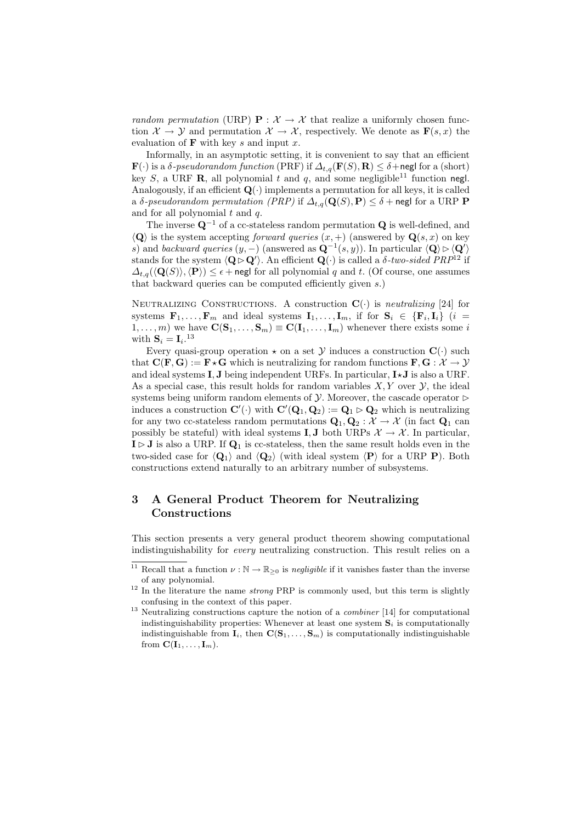random permutation (URP)  $P: \mathcal{X} \to \mathcal{X}$  that realize a uniformly chosen function  $\mathcal{X} \to \mathcal{Y}$  and permutation  $\mathcal{X} \to \mathcal{X}$ , respectively. We denote as  $\mathbf{F}(s,x)$  the evaluation of  $\bf{F}$  with key s and input x.

Informally, in an asymptotic setting, it is convenient to say that an efficient  $\mathbf{F}(\cdot)$  is a  $\delta$ -pseudorandom function (PRF) if  $\Delta_{t,q}(\mathbf{F}(S), \mathbf{R}) \leq \delta + \text{negl}$  for a (short) key S, a URF **R**, all polynomial t and q, and some negligible<sup>11</sup> function negl. Analogously, if an efficient  $\mathbf{Q}(\cdot)$  implements a permutation for all keys, it is called a δ-pseudorandom permutation (PRP) if  $\Delta_{t,q}(\mathbf{Q}(S), \mathbf{P}) \leq \delta + \text{negl}$  for a URP P and for all polynomial  $t$  and  $q$ .

The inverse  $\mathbf{Q}^{-1}$  of a cc-stateless random permutation  $\mathbf{Q}$  is well-defined, and  $\langle \mathbf{Q} \rangle$  is the system accepting forward queries  $(x, +)$  (answered by  $\mathbf{Q}(s, x)$  on key s) and backward queries  $(y, -)$  (answered as  $\mathbf{Q}^{-1}(s, y)$ ). In particular  $\langle \mathbf{Q} \rangle \triangleright \langle \mathbf{Q'} \rangle$ stands for the system  $\langle \mathbf{Q} \triangleright \mathbf{Q}' \rangle$ . An efficient  $\mathbf{Q}(\cdot)$  is called a  $\delta$ -two-sided PRP<sup>12</sup> if  $\Delta_{t,q}(\langle \mathbf{Q}(S) \rangle, \langle \mathbf{P} \rangle) \leq \epsilon + \text{negl}$  for all polynomial q and t. (Of course, one assumes that backward queries can be computed efficiently given s.)

NEUTRALIZING CONSTRUCTIONS. A construction  $\mathbf{C}(\cdot)$  is neutralizing [24] for systems  $\mathbf{F}_1,\ldots,\mathbf{F}_m$  and ideal systems  $\mathbf{I}_1,\ldots,\mathbf{I}_m$ , if for  $\mathbf{S}_i \in \{\mathbf{F}_i,\mathbf{I}_i\}$  (i =  $(1, \ldots, m)$  we have  $\mathbf{C}(\mathbf{S}_1, \ldots, \mathbf{S}_m) \equiv \mathbf{C}(\mathbf{I}_1, \ldots, \mathbf{I}_m)$  whenever there exists some i with  $\mathbf{S}_i = \mathbf{I}_i$ .<sup>13</sup>

Every quasi-group operation  $\star$  on a set Y induces a construction  $\mathbf{C}(\cdot)$  such that  $\mathbf{C}(\mathbf{F}, \mathbf{G}) := \mathbf{F} \star \mathbf{G}$  which is neutralizing for random functions  $\mathbf{F}, \mathbf{G} : \mathcal{X} \to \mathcal{Y}$ and ideal systems  $I, J$  being independent URFs. In particular,  $I \star J$  is also a URF. As a special case, this result holds for random variables  $X, Y$  over  $Y$ , the ideal systems being uniform random elements of  $\mathcal Y$ . Moreover, the cascade operator  $\triangleright$ induces a construction  $\mathbf{C}'(\cdot)$  with  $\mathbf{C}'(\mathbf{Q}_1, \mathbf{Q}_2) := \mathbf{Q}_1 \triangleright \mathbf{Q}_2$  which is neutralizing for any two cc-stateless random permutations  $Q_1, Q_2 : \mathcal{X} \to \mathcal{X}$  (in fact  $Q_1$  can possibly be stateful) with ideal systems **I**, **J** both URPs  $\mathcal{X} \to \mathcal{X}$ . In particular,  $I \triangleright J$  is also a URP. If  $Q_1$  is cc-stateless, then the same result holds even in the two-sided case for  $\langle \mathbf{Q}_1 \rangle$  and  $\langle \mathbf{Q}_2 \rangle$  (with ideal system  $\langle \mathbf{P} \rangle$  for a URP P). Both constructions extend naturally to an arbitrary number of subsystems.

# 3 A General Product Theorem for Neutralizing Constructions

This section presents a very general product theorem showing computational indistinguishability for every neutralizing construction. This result relies on a

<sup>&</sup>lt;sup>11</sup> Recall that a function  $\nu : \mathbb{N} \to \mathbb{R}_{\geq 0}$  is negligible if it vanishes faster than the inverse of any polynomial.

<sup>&</sup>lt;sup>12</sup> In the literature the name *strong* PRP is commonly used, but this term is slightly confusing in the context of this paper.

<sup>&</sup>lt;sup>13</sup> Neutralizing constructions capture the notion of a *combiner* [14] for computational indistinguishability properties: Whenever at least one system  $S_i$  is computationally indistinguishable from  $\mathbf{I}_i$ , then  $\mathbf{C}(\mathbf{S}_1, \ldots, \mathbf{S}_m)$  is computationally indistinguishable from  $\mathbf{C}(\mathbf{I}_1,\ldots,\mathbf{I}_m)$ .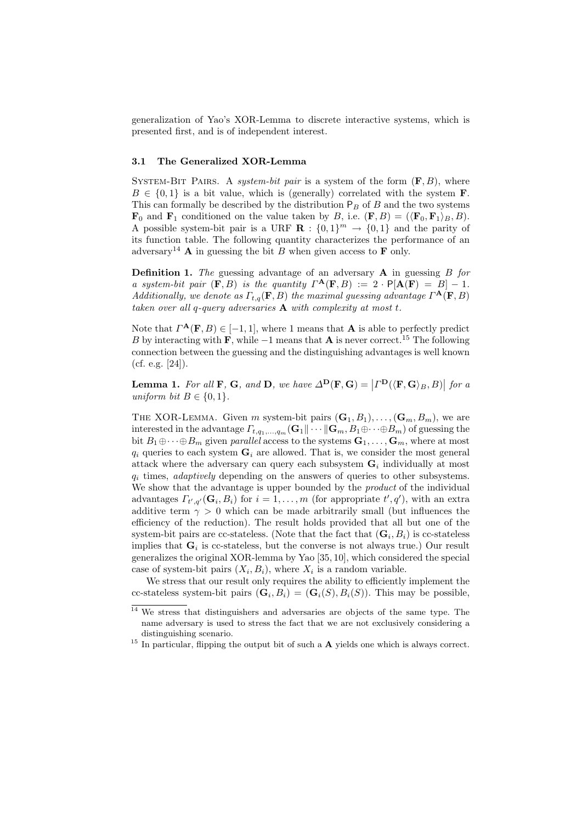generalization of Yao's XOR-Lemma to discrete interactive systems, which is presented first, and is of independent interest.

### 3.1 The Generalized XOR-Lemma

SYSTEM-BIT PAIRS. A system-bit pair is a system of the form  $(F, B)$ , where  $B \in \{0,1\}$  is a bit value, which is (generally) correlated with the system **F**. This can formally be described by the distribution  $P_B$  of B and the two systems  $\mathbf{F}_0$  and  $\mathbf{F}_1$  conditioned on the value taken by B, i.e.  $(\mathbf{F}, B) = (\langle \mathbf{F}_0, \mathbf{F}_1 \rangle_B, B)$ . A possible system-bit pair is a URF  $\mathbf{R} : \{0,1\}^m \to \{0,1\}$  and the parity of its function table. The following quantity characterizes the performance of an adversary<sup>14</sup> **A** in guessing the bit B when given access to **F** only.

**Definition 1.** The guessing advantage of an adversary  $A$  in guessing  $B$  for a system-bit pair  $(\mathbf{F},B)$  is the quantity  $\Gamma^{\mathbf{A}}(\mathbf{F},B) := 2 \cdot \mathsf{P}[\mathbf{A}(\mathbf{F}) = B] - 1$ . Additionally, we denote as  $\Gamma_{t,q}(\mathbf{F},B)$  the maximal guessing advantage  $\Gamma^{\mathbf{A}}(\mathbf{F},B)$ taken over all q-query adversaries  $A$  with complexity at most t.

Note that  $\Gamma^{\mathbf{A}}(\mathbf{F},B) \in [-1,1]$ , where 1 means that **A** is able to perfectly predict B by interacting with F, while  $-1$  means that A is never correct.<sup>15</sup> The following connection between the guessing and the distinguishing advantages is well known  $(cf. e.g. [24]).$ 

**Lemma 1.** For all **F**, **G**, and **D**, we have  $\Delta^{\mathbf{D}}(\mathbf{F}, \mathbf{G}) = | \Gamma^{\mathbf{D}}(\langle \mathbf{F}, \mathbf{G} \rangle_B, B) |$  for a uniform bit  $B \in \{0, 1\}.$ 

THE XOR-LEMMA. Given m system-bit pairs  $(G_1, B_1), \ldots, (G_m, B_m)$ , we are interested in the advantage  $\Gamma_{t,q_1,\dots,q_m}(\mathbf{G}_1\|\cdots\|\mathbf{G}_m,B_1\oplus\cdots\oplus B_m)$  of guessing the bit  $B_1 \oplus \cdots \oplus B_m$  given parallel access to the systems  $\mathbf{G}_1, \ldots, \mathbf{G}_m$ , where at most  $q_i$  queries to each system  $\mathbf{G}_i$  are allowed. That is, we consider the most general attack where the adversary can query each subsystem  $G_i$  individually at most  $q_i$  times, *adaptively* depending on the answers of queries to other subsystems. We show that the advantage is upper bounded by the *product* of the individual advantages  $\Gamma_{t',q'}(\mathbf{G}_i, B_i)$  for  $i = 1, \ldots, m$  (for appropriate  $t', q'$ ), with an extra additive term  $\gamma > 0$  which can be made arbitrarily small (but influences the efficiency of the reduction). The result holds provided that all but one of the system-bit pairs are cc-stateless. (Note that the fact that  $(G_i, B_i)$  is cc-stateless implies that  $G_i$  is cc-stateless, but the converse is not always true.) Our result generalizes the original XOR-lemma by Yao [35, 10], which considered the special case of system-bit pairs  $(X_i, B_i)$ , where  $X_i$  is a random variable.

We stress that our result only requires the ability to efficiently implement the cc-stateless system-bit pairs  $(G_i, B_i) = (G_i(S), B_i(S))$ . This may be possible,

<sup>&</sup>lt;sup>14</sup> We stress that distinguishers and adversaries are objects of the same type. The name adversary is used to stress the fact that we are not exclusively considering a distinguishing scenario.

 $15$  In particular, flipping the output bit of such a  $\bf{A}$  yields one which is always correct.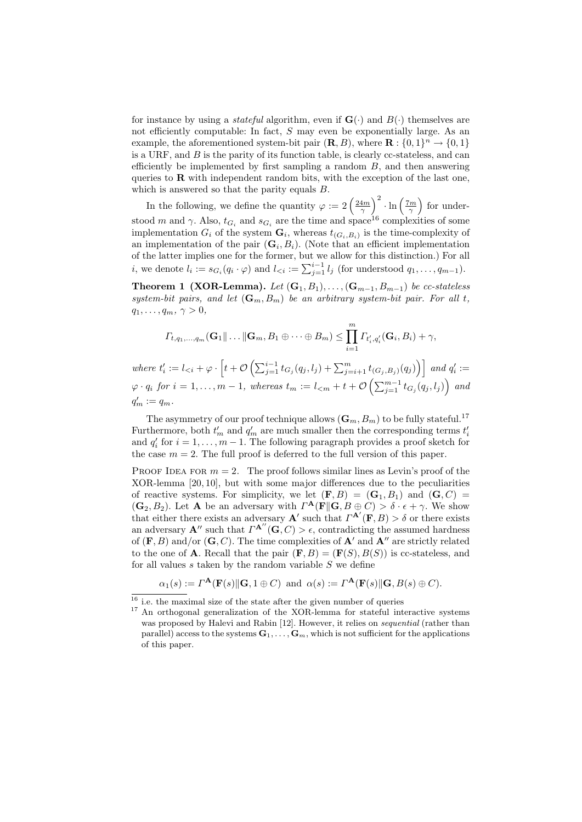for instance by using a *stateful* algorithm, even if  $\mathbf{G}(\cdot)$  and  $B(\cdot)$  themselves are not efficiently computable: In fact, S may even be exponentially large. As an example, the aforementioned system-bit pair  $(\mathbf{R}, B)$ , where  $\mathbf{R} : \{0, 1\}^n \to \{0, 1\}$ is a URF, and  $B$  is the parity of its function table, is clearly cc-stateless, and can efficiently be implemented by first sampling a random  $B$ , and then answering queries to  $\bf{R}$  with independent random bits, with the exception of the last one, which is answered so that the parity equals B.

In the following, we define the quantity  $\varphi := 2 \left( \frac{24m}{\gamma} \right)^2 \cdot \ln \left( \frac{7m}{\gamma} \right)$  for understood m and  $\gamma$ . Also,  $t_{G_i}$  and  $s_{G_i}$  are the time and space<sup>16</sup> complexities of some implementation  $G_i$  of the system  $\mathbf{G}_i$ , whereas  $t_{(G_i,B_i)}$  is the time-complexity of an implementation of the pair  $(G_i, B_i)$ . (Note that an efficient implementation of the latter implies one for the former, but we allow for this distinction.) For all *i*, we denote  $l_i := s_{G_i}(q_i \cdot \varphi)$  and  $l_{\leq i} := \sum_{j=1}^{i-1} l_j$  (for understood  $q_1, \ldots, q_{m-1}$ ).

**Theorem 1 (XOR-Lemma).** Let  $(G_1, B_1), \ldots, (G_{m-1}, B_{m-1})$  be cc-stateless system-bit pairs, and let  $(G_m, B_m)$  be an arbitrary system-bit pair. For all t,  $q_1, \ldots, q_m, \gamma > 0,$ 

$$
\Gamma_{t,q_1,\ldots,q_m}(\mathbf{G}_1\|\ldots\|\mathbf{G}_m,B_1\oplus\cdots\oplus B_m)\leq \prod_{i=1}^m\Gamma_{t'_i,q'_i}(\mathbf{G}_i,B_i)+\gamma,
$$

where  $t'_{i} := l_{*i*} + \varphi \cdot \left[t + \mathcal{O}\left(\sum_{j=1}^{i-1} t_{G_j}(q_j, l_j) + \sum_{j=i+1}^{m} t_{(G_j, B_j)}(q_j)\right)\right]$  and  $q'_{i} :=$  $\varphi \cdot q_i$  for  $i=1,\ldots,m-1,$  whereas  $t_m:=l_{< m}+t+\mathcal{O}\left(\sum_{j=1}^{m-1}t_{G_j}(q_j, l_j)\right)$  and  $q'_m := q_m.$ 

The asymmetry of our proof technique allows  $(G_m, B_m)$  to be fully stateful.<sup>17</sup> Furthermore, both  $t'_m$  and  $q'_m$  are much smaller then the corresponding terms  $t'_i$ and  $q'_i$  for  $i = 1, \ldots, m - 1$ . The following paragraph provides a proof sketch for the case  $m = 2$ . The full proof is deferred to the full version of this paper.

PROOF IDEA FOR  $m = 2$ . The proof follows similar lines as Levin's proof of the XOR-lemma [20, 10], but with some major differences due to the peculiarities of reactive systems. For simplicity, we let  $(F, B) = (G_1, B_1)$  and  $(G, C)$  $(\mathbf{G}_2, B_2)$ . Let **A** be an adversary with  $\Gamma^{\mathbf{A}}(\mathbf{F} \parallel \mathbf{G}, B \oplus C) > \delta \cdot \epsilon + \gamma$ . We show that either there exists an adversary **A'** such that  $\Gamma^{\mathbf{A}'}(\mathbf{F},B) > \delta$  or there exists an adversary  $\mathbf{A}''$  such that  $\Gamma^{\mathbf{A}''}(\mathbf{G}, C) > \epsilon$ , contradicting the assumed hardness of  $(F, B)$  and/or  $(G, C)$ . The time complexities of  $A'$  and  $A''$  are strictly related to the one of **A**. Recall that the pair  $(\mathbf{F}, B) = (\mathbf{F}(S), B(S))$  is cc-stateless, and for all values  $s$  taken by the random variable  $S$  we define

$$
\alpha_1(s) := \Gamma^{\mathbf{A}}(\mathbf{F}(s) \|\mathbf{G}, 1 \oplus C)
$$
 and  $\alpha(s) := \Gamma^{\mathbf{A}}(\mathbf{F}(s) \|\mathbf{G}, B(s) \oplus C)$ .

 $^{16}$  i.e. the maximal size of the state after the given number of queries

<sup>&</sup>lt;sup>17</sup> An orthogonal generalization of the XOR-lemma for stateful interactive systems was proposed by Halevi and Rabin [12]. However, it relies on sequential (rather than parallel) access to the systems  $\mathbf{G}_1, \ldots, \mathbf{G}_m$ , which is not sufficient for the applications of this paper.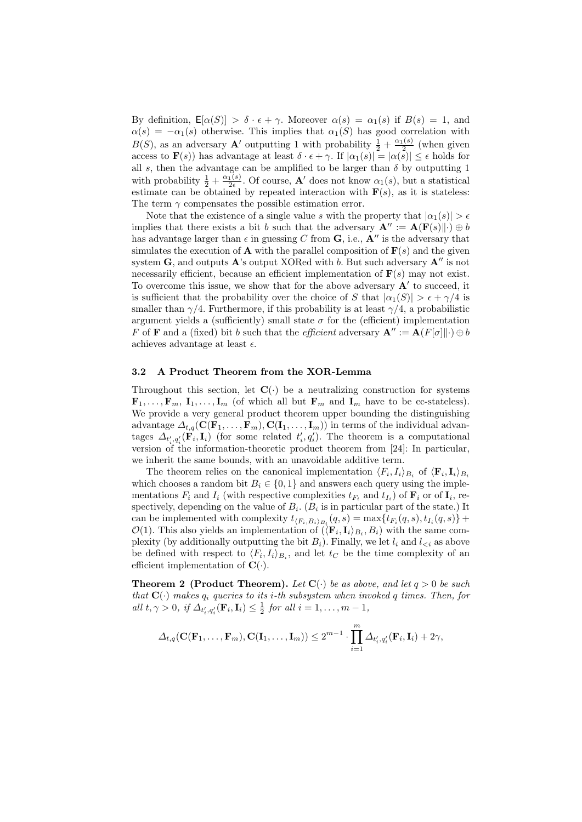By definition,  $\mathsf{E}[\alpha(S)] > \delta \cdot \epsilon + \gamma$ . Moreover  $\alpha(s) = \alpha_1(s)$  if  $B(s) = 1$ , and  $\alpha(s) = -\alpha_1(s)$  otherwise. This implies that  $\alpha_1(S)$  has good correlation with  $B(S)$ , as an adversary **A'** outputting 1 with probability  $\frac{1}{2} + \frac{\alpha_1(s)}{2}$  (when given access to  $\mathbf{F}(s)$ ) has advantage at least  $\delta \cdot \epsilon + \gamma$ . If  $|\alpha_1(s)| = |\alpha(s)| \leq \epsilon$  holds for all s, then the advantage can be amplified to be larger than  $\delta$  by outputting 1 with probability  $\frac{1}{2} + \frac{\alpha_1(s)}{2\epsilon}$ . Of course, **A'** does not know  $\alpha_1(s)$ , but a statistical estimate can be obtained by repeated interaction with  $F(s)$ , as it is stateless: The term  $\gamma$  compensates the possible estimation error.

Note that the existence of a single value s with the property that  $|\alpha_1(s)| > \epsilon$ implies that there exists a bit b such that the adversary  $\mathbf{A}'' := \mathbf{A}(\mathbf{F}(s)\|\cdot) \oplus b$ has advantage larger than  $\epsilon$  in guessing C from **G**, i.e., **A**<sup>*n*</sup> is the adversary that simulates the execution of **A** with the parallel composition of  $F(s)$  and the given system  $\bf{G}$ , and outputs  $\bf{A}$ 's output XORed with b. But such adversary  $\bf{A}''$  is not necessarily efficient, because an efficient implementation of  $F(s)$  may not exist. To overcome this issue, we show that for the above adversary  $A'$  to succeed, it is sufficient that the probability over the choice of S that  $|\alpha_1(S)| > \epsilon + \gamma/4$  is smaller than  $\gamma/4$ . Furthermore, if this probability is at least  $\gamma/4$ , a probabilistic argument yields a (sufficiently) small state  $\sigma$  for the (efficient) implementation F of **F** and a (fixed) bit b such that the efficient adversary  $\mathbf{A}^{\prime\prime} := \mathbf{A}(F[\sigma] \| \cdot) \oplus b$ achieves advantage at least  $\epsilon$ .

### 3.2 A Product Theorem from the XOR-Lemma

Throughout this section, let  $\mathbf{C}(\cdot)$  be a neutralizing construction for systems  $\mathbf{F}_1, \ldots, \mathbf{F}_m, \mathbf{I}_1, \ldots, \mathbf{I}_m$  (of which all but  $\mathbf{F}_m$  and  $\mathbf{I}_m$  have to be cc-stateless). We provide a very general product theorem upper bounding the distinguishing advantage  $\Delta_{t,q}(\mathbf{C}(\mathbf{F}_1,\ldots,\mathbf{F}_m),\mathbf{C}(\mathbf{I}_1,\ldots,\mathbf{I}_m))$  in terms of the individual advantages  $\Delta_{t'_i,q'_i}(\mathbf{F}_i,\mathbf{I}_i)$  (for some related  $t'_i,q'_i$ ). The theorem is a computational version of the information-theoretic product theorem from [24]: In particular, we inherit the same bounds, with an unavoidable additive term.

The theorem relies on the canonical implementation  $\langle F_i, I_i \rangle_{B_i}$  of  $\langle \mathbf{F}_i, \mathbf{I}_i \rangle_{B_i}$ which chooses a random bit  $B_i \in \{0, 1\}$  and answers each query using the implementations  $F_i$  and  $I_i$  (with respective complexities  $t_{F_i}$  and  $t_{I_i}$ ) of  $\mathbf{F}_i$  or of  $\mathbf{I}_i$ , respectively, depending on the value of  $B_i$ . ( $B_i$  is in particular part of the state.) It can be implemented with complexity  $t_{\langle F_i,B_i\rangle_{B_i}}(q,s) = \max\{t_{F_i}(q,s), t_{I_i}(q,s)\} +$  $\mathcal{O}(1)$ . This also yields an implementation of  $(\langle \mathbf{F}_i, \mathbf{I}_i \rangle_{B_i}, B_i)$  with the same complexity (by additionally outputting the bit  $B_i$ ). Finally, we let  $l_i$  and  $l_{\leq i}$  as above be defined with respect to  $\langle F_i, I_i \rangle_{B_i}$ , and let  $t_C$  be the time complexity of an efficient implementation of  $\mathbf{C}(\cdot)$ .

**Theorem 2** (Product Theorem). Let  $C(\cdot)$  be as above, and let  $q > 0$  be such that  $\mathbf{C}(\cdot)$  makes  $q_i$  queries to its *i*-th subsystem when invoked q times. Then, for all  $t, \gamma > 0$ , if  $\Delta_{t'_i, q'_i}(\mathbf{F}_i, \mathbf{I}_i) \leq \frac{1}{2}$  for all  $i = 1, \ldots, m - 1$ ,

$$
\Delta_{t,q}(\mathbf{C}(\mathbf{F}_1,\ldots,\mathbf{F}_m),\mathbf{C}(\mathbf{I}_1,\ldots,\mathbf{I}_m))\leq 2^{m-1}\cdot\prod_{i=1}^m\Delta_{t'_i,q'_i}(\mathbf{F}_i,\mathbf{I}_i)+2\gamma,
$$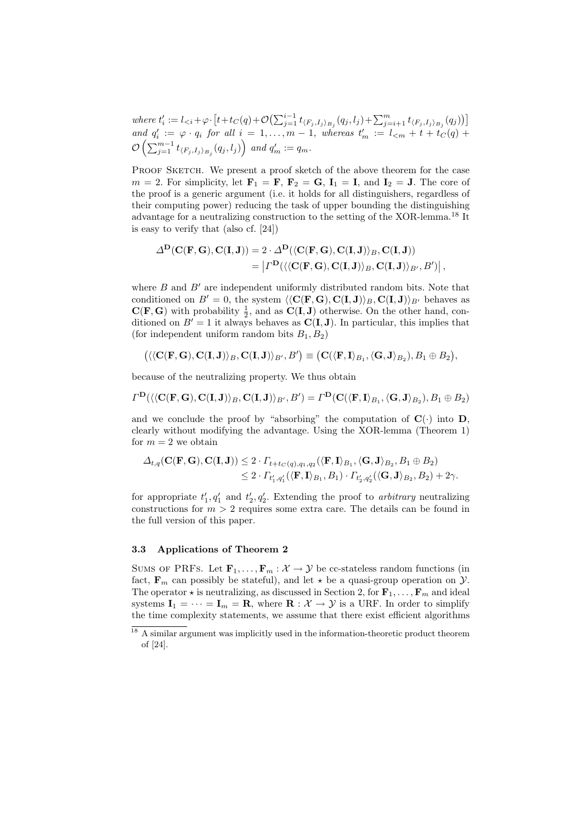where  $t'_{i} := l_{*i*} + \varphi \cdot [t + t_C(q) + \mathcal{O}(\sum_{j=1}^{i-1} t_{\langle F_j, I_j \rangle_{B_j}}(q_j, l_j) + \sum_{j=i+1}^{m} t_{\langle F_j, I_j \rangle_{B_j}}(q_j))]$ and  $q'_i := \varphi \cdot q_i$  for all  $i = 1, \ldots, m - 1$ , whereas  $t'_m := l_{\leq m} + t + t'_C(q) +$  $\mathcal{O}\left(\sum_{j=1}^{m-1}t_{\langle F_j,I_j\rangle_{B_j}}(q_j,l_j)\right)$  and  $q'_m:=q_m$ .

PROOF SKETCH. We present a proof sketch of the above theorem for the case  $m = 2$ . For simplicity, let  $\mathbf{F}_1 = \mathbf{F}$ ,  $\mathbf{F}_2 = \mathbf{G}$ ,  $\mathbf{I}_1 = \mathbf{I}$ , and  $\mathbf{I}_2 = \mathbf{J}$ . The core of the proof is a generic argument (i.e. it holds for all distinguishers, regardless of their computing power) reducing the task of upper bounding the distinguishing advantage for a neutralizing construction to the setting of the XOR-lemma.<sup>18</sup> It is easy to verify that (also cf. [24])

$$
\Delta^{\mathbf{D}}(\mathbf{C}(\mathbf{F}, \mathbf{G}), \mathbf{C}(\mathbf{I}, \mathbf{J})) = 2 \cdot \Delta^{\mathbf{D}}(\langle \mathbf{C}(\mathbf{F}, \mathbf{G}), \mathbf{C}(\mathbf{I}, \mathbf{J}) \rangle_B, \mathbf{C}(\mathbf{I}, \mathbf{J}) \rangle = \left| \Gamma^{\mathbf{D}}(\langle \langle \mathbf{C}(\mathbf{F}, \mathbf{G}), \mathbf{C}(\mathbf{I}, \mathbf{J}) \rangle_B, \mathbf{C}(\mathbf{I}, \mathbf{J}) \rangle_{B'}, B') \right|,
$$

where  $B$  and  $B'$  are independent uniformly distributed random bits. Note that conditioned on  $B' = 0$ , the system  $\langle\langle C(F, G), C(I, J)\rangle_B, C(I, J)\rangle_{B'}$  behaves as  $C(F, G)$  with probability  $\frac{1}{2}$ , and as  $C(I, J)$  otherwise. On the other hand, conditioned on  $B' = 1$  it always behaves as  $C(I, J)$ . In particular, this implies that (for independent uniform random bits  $B_1, B_2$ )

$$
\bigl(\langle\langle \mathbf{C}(\mathbf{F},\mathbf{G}),\mathbf{C}(\mathbf{I},\mathbf{J})\rangle_{B},\mathbf{C}(\mathbf{I},\mathbf{J})\rangle_{B'}, B'\bigr)\equiv \bigl(\mathbf{C}(\langle\mathbf{F},\mathbf{I}\rangle_{B_1},\langle\mathbf{G},\mathbf{J}\rangle_{B_2}), B_1\oplus B_2\bigr),
$$

because of the neutralizing property. We thus obtain

$$
\Gamma^{\mathbf{D}}(\langle\langle \mathbf{C}(\mathbf{F},\mathbf{G}),\mathbf{C}(\mathbf{I},\mathbf{J})\rangle_{B},\mathbf{C}(\mathbf{I},\mathbf{J})\rangle_{B'},B')=\Gamma^{\mathbf{D}}(\mathbf{C}(\langle\mathbf{F},\mathbf{I}\rangle_{B_1},\langle\mathbf{G},\mathbf{J}\rangle_{B_2}),B_1\oplus B_2)
$$

and we conclude the proof by "absorbing" the computation of  $\mathbf{C}(\cdot)$  into  $\mathbf{D}$ . clearly without modifying the advantage. Using the XOR-lemma (Theorem 1) for  $m = 2$  we obtain

$$
\Delta_{t,q}(\mathbf{C}(\mathbf{F},\mathbf{G}),\mathbf{C}(\mathbf{I},\mathbf{J})) \leq 2 \cdot \Gamma_{t+t_C(q),q_1,q_2}(\langle \mathbf{F},\mathbf{I}\rangle_{B_1},\langle \mathbf{G},\mathbf{J}\rangle_{B_2},B_1\oplus B_2) \leq 2 \cdot \Gamma_{t'_1,q'_1}(\langle \mathbf{F},\mathbf{I}\rangle_{B_1},B_1) \cdot \Gamma_{t'_2,q'_2}(\langle \mathbf{G},\mathbf{J}\rangle_{B_2},B_2) + 2\gamma.
$$

for appropriate  $t_1', q_1'$  and  $t_2', q_2'$ . Extending the proof to *arbitrary* neutralizing constructions for  $m > 2$  requires some extra care. The details can be found in the full version of this paper.

### 3.3 Applications of Theorem 2

SUMS OF PRFS. Let  $\mathbf{F}_1, \ldots, \mathbf{F}_m : \mathcal{X} \to \mathcal{Y}$  be cc-stateless random functions (in fact,  $\mathbf{F}_m$  can possibly be stateful), and let  $\star$  be a quasi-group operation on  $\mathcal{Y}$ . The operator  $\star$  is neutralizing, as discussed in Section 2, for  $\mathbf{F}_1, \ldots, \mathbf{F}_m$  and ideal systems  $I_1 = \cdots = I_m = R$ , where  $R : \mathcal{X} \to \mathcal{Y}$  is a URF. In order to simplify the time complexity statements, we assume that there exist efficient algorithms

<sup>&</sup>lt;sup>18</sup> A similar argument was implicitly used in the information-theoretic product theorem of [24].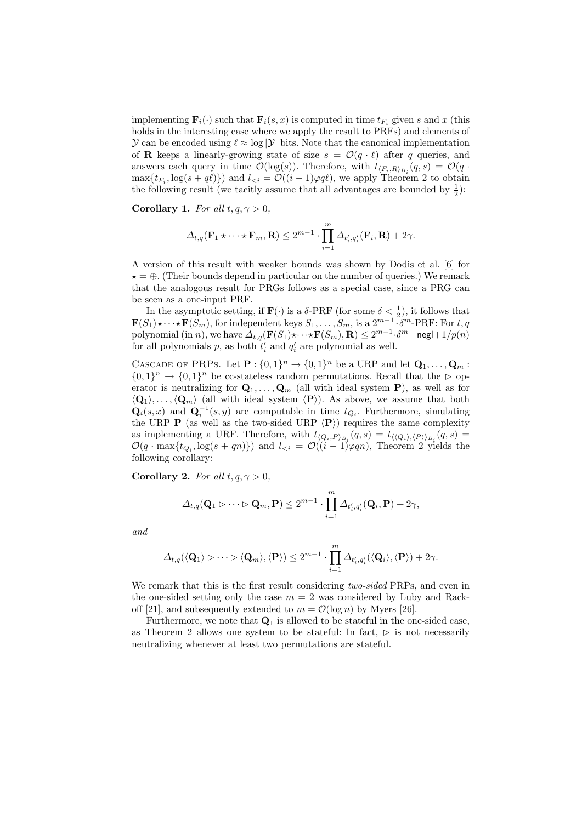implementing  $\mathbf{F}_i(\cdot)$  such that  $\mathbf{F}_i(s, x)$  is computed in time  $t_{F_i}$  given s and x (this holds in the interesting case where we apply the result to PRFs) and elements of  $\mathcal Y$  can be encoded using  $\ell \approx \log |\mathcal Y|$  bits. Note that the canonical implementation of **R** keeps a linearly-growing state of size  $s = \mathcal{O}(q \cdot \ell)$  after q queries, and answers each query in time  $\mathcal{O}(\log(s))$ . Therefore, with  $t_{\langle F_i,R\rangle_{B_i}}(q,s) = \mathcal{O}(q \cdot$  $\max\{t_{F_i}, \log(s + q\ell)\}\)$  and  $l_{\leq i} = \mathcal{O}((i - 1)\varphi q\ell)$ , we apply Theorem 2 to obtain the following result (we tacitly assume that all advantages are bounded by  $\frac{1}{2}$ ):

Corollary 1. For all  $t, q, \gamma > 0$ ,

$$
\Delta_{t,q}(\mathbf{F}_1 \star \cdots \star \mathbf{F}_m, \mathbf{R}) \leq 2^{m-1} \cdot \prod_{i=1}^m \Delta_{t'_i,q'_i}(\mathbf{F}_i, \mathbf{R}) + 2\gamma.
$$

A version of this result with weaker bounds was shown by Dodis et al. [6] for  $\star = \oplus$ . (Their bounds depend in particular on the number of queries.) We remark that the analogous result for PRGs follows as a special case, since a PRG can be seen as a one-input PRF.

In the asymptotic setting, if  $\mathbf{F}(\cdot)$  is a  $\delta$ -PRF (for some  $\delta < \frac{1}{2}$ ), it follows that  $\mathbf{F}(S_1)\star \cdots \star \mathbf{F}(S_m)$ , for independent keys  $S_1, \ldots, S_m$ , is a  $2^{m-1} \cdot \delta^m$ -PRF: For t, q polynomial (in *n*), we have  $\Delta_{t,q}(\mathbf{F}(S_1)\star \cdots \star \mathbf{F}(S_m), \mathbf{R}) \leq 2^{m-1} \cdot \delta^m + \mathsf{negl} + 1/p(n)$ for all polynomials p, as both  $t'_{i}$  and  $q'_{i}$  are polynomial as well.

CASCADE OF PRPS. Let  $\mathbf{P}:\{0,1\}^n \to \{0,1\}^n$  be a URP and let  $\mathbf{Q}_1,\ldots,\mathbf{Q}_m$ :  $\{0,1\}^n \to \{0,1\}^n$  be cc-stateless random permutations. Recall that the  $\triangleright$  operator is neutralizing for  $\mathbf{Q}_1, \ldots, \mathbf{Q}_m$  (all with ideal system P), as well as for  $\langle \mathbf{Q}_1 \rangle, \ldots, \langle \mathbf{Q}_m \rangle$  (all with ideal system  $\langle \mathbf{P} \rangle$ ). As above, we assume that both  $\mathbf{Q}_i(s,x)$  and  $\mathbf{Q}_i^{-1}(s,y)$  are computable in time  $t_{Q_i}$ . Furthermore, simulating the URP **P** (as well as the two-sided URP  $\langle \mathbf{P} \rangle$ ) requires the same complexity as implementing a URF. Therefore, with  $t_{\langle Q_i, P \rangle_{B_i}}(q, s) = t_{\langle \langle Q_i \rangle, \langle P \rangle \rangle_{B_i}}(q, s) =$  $\mathcal{O}(q \cdot \max\{t_{Q_i}, \log(s+qn)\})$  and  $l_{< i} = \mathcal{O}((i-1)\varphi qn)$ , Theorem 2 yields the following corollary:

Corollary 2. For all  $t, q, \gamma > 0$ ,

$$
\Delta_{t,q}(\mathbf{Q}_1 \triangleright \cdots \triangleright \mathbf{Q}_m, \mathbf{P}) \leq 2^{m-1} \cdot \prod_{i=1}^m \Delta_{t'_i, q'_i}(\mathbf{Q}_i, \mathbf{P}) + 2\gamma,
$$

and

$$
\varDelta_{t,q}(\langle \mathbf{Q}_1 \rangle \triangleright \dots \triangleright \langle \mathbf{Q}_m \rangle, \langle \mathbf{P} \rangle) \leq 2^{m-1} \cdot \prod_{i=1}^m \varDelta_{t'_i,q'_i}(\langle \mathbf{Q}_i \rangle, \langle \mathbf{P} \rangle) + 2\gamma.
$$

We remark that this is the first result considering *two-sided* PRPs, and even in the one-sided setting only the case  $m = 2$  was considered by Luby and Rackoff [21], and subsequently extended to  $m = \mathcal{O}(\log n)$  by Myers [26].

Furthermore, we note that  $Q_1$  is allowed to be stateful in the one-sided case, as Theorem 2 allows one system to be stateful: In fact,  $\triangleright$  is not necessarily neutralizing whenever at least two permutations are stateful.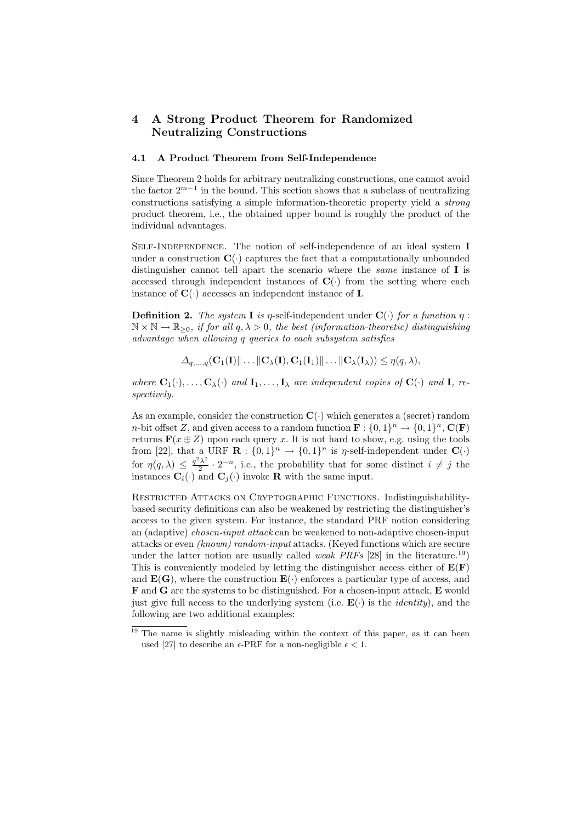# 4 A Strong Product Theorem for Randomized Neutralizing Constructions

### 4.1 A Product Theorem from Self-Independence

Since Theorem 2 holds for arbitrary neutralizing constructions, one cannot avoid the factor  $2^{m-1}$  in the bound. This section shows that a subclass of neutralizing constructions satisfying a simple information-theoretic property yield a strong product theorem, i.e., the obtained upper bound is roughly the product of the individual advantages.

Self-Independence. The notion of self-independence of an ideal system I under a construction  $\mathbf{C}(\cdot)$  captures the fact that a computationally unbounded distinguisher cannot tell apart the scenario where the *same* instance of  $\bf{I}$  is accessed through independent instances of  $\mathbf{C}(\cdot)$  from the setting where each instance of  $\mathbf{C}(\cdot)$  accesses an independent instance of **I**.

**Definition 2.** The system **I** is *η*-self-independent under  $\mathbf{C}(\cdot)$  for a function  $\eta$ :  $\mathbb{N} \times \mathbb{N} \to \mathbb{R}_{\geq 0}$ , if for all  $q, \lambda > 0$ , the best (information-theoretic) distinguishing advantage when allowing q queries to each subsystem satisfies

$$
\Delta_{q,\ldots,q}(\mathbf{C}_1(\mathbf{I})\|\ldots\|\mathbf{C}_{\lambda}(\mathbf{I}),\mathbf{C}_1(\mathbf{I}_1)\|\ldots\|\mathbf{C}_{\lambda}(\mathbf{I}_{\lambda})) \leq \eta(q,\lambda),
$$

where  $C_1(\cdot), \ldots, C_{\lambda}(\cdot)$  and  $I_1, \ldots, I_{\lambda}$  are independent copies of  $C(\cdot)$  and I, respectively.

As an example, consider the construction  $\mathbf{C}(\cdot)$  which generates a (secret) random *n*-bit offset Z, and given access to a random function  $\mathbf{F} : \{0,1\}^n \to \{0,1\}^n$ ,  $\mathbf{C}(\mathbf{F})$ returns  $\mathbf{F}(x \oplus Z)$  upon each query x. It is not hard to show, e.g. using the tools from [22], that a URF  $\mathbf{R}: \{0,1\}^n \to \{0,1\}^n$  is  $\eta$ -self-independent under  $\mathbf{C}(\cdot)$ for  $\eta(q,\lambda) \leq \frac{q^2\lambda^2}{2}$  $\frac{i\lambda^2}{2} \cdot 2^{-n}$ , i.e., the probability that for some distinct  $i \neq j$  the instances  $\mathbf{C}_i(\cdot)$  and  $\mathbf{C}_j(\cdot)$  invoke **R** with the same input.

Restricted Attacks on Cryptographic Functions. Indistinguishabilitybased security definitions can also be weakened by restricting the distinguisher's access to the given system. For instance, the standard PRF notion considering an (adaptive) chosen-input attack can be weakened to non-adaptive chosen-input attacks or even (known) random-input attacks. (Keyed functions which are secure under the latter notion are usually called *weak PRFs* [28] in the literature.<sup>19</sup>) This is conveniently modeled by letting the distinguisher access either of  $E(F)$ and  $\mathbf{E}(\mathbf{G})$ , where the construction  $\mathbf{E}(\cdot)$  enforces a particular type of access, and F and G are the systems to be distinguished. For a chosen-input attack, E would just give full access to the underlying system (i.e.  $\mathbf{E}(\cdot)$ ) is the *identity*), and the following are two additional examples:

<sup>&</sup>lt;sup>19</sup> The name is slightly misleading within the context of this paper, as it can been used [27] to describe an  $\epsilon$ -PRF for a non-negligible  $\epsilon$  < 1.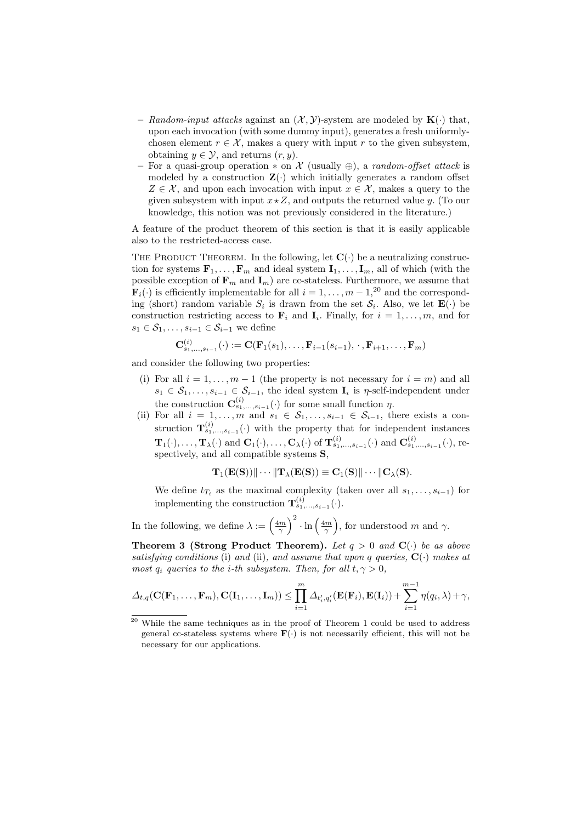- Random-input attacks against an  $(\mathcal{X}, \mathcal{Y})$ -system are modeled by  $\mathbf{K}(\cdot)$  that, upon each invocation (with some dummy input), generates a fresh uniformlychosen element  $r \in \mathcal{X}$ , makes a query with input r to the given subsystem, obtaining  $y \in \mathcal{Y}$ , and returns  $(r, y)$ .
- For a quasi-group operation  $*$  on X (usually  $\oplus$ ), a *random-offset attack* is modeled by a construction  $\mathbf{Z}(\cdot)$  which initially generates a random offset  $Z \in \mathcal{X}$ , and upon each invocation with input  $x \in \mathcal{X}$ , makes a query to the given subsystem with input  $x \star Z$ , and outputs the returned value y. (To our knowledge, this notion was not previously considered in the literature.)

A feature of the product theorem of this section is that it is easily applicable also to the restricted-access case.

THE PRODUCT THEOREM. In the following, let  $\mathbf{C}(\cdot)$  be a neutralizing construction for systems  $\mathbf{F}_1, \ldots, \mathbf{F}_m$  and ideal system  $\mathbf{I}_1, \ldots, \mathbf{I}_m$ , all of which (with the possible exception of  $\mathbf{F}_m$  and  $\mathbf{I}_m$ ) are cc-stateless. Furthermore, we assume that  $\mathbf{F}_i(\cdot)$  is efficiently implementable for all  $i = 1, \ldots, m-1, ^{20}$  and the corresponding (short) random variable  $S_i$  is drawn from the set  $S_i$ . Also, we let  $\mathbf{E}(\cdot)$  be construction restricting access to  $\mathbf{F}_i$  and  $\mathbf{I}_i$ . Finally, for  $i = 1, \ldots, m$ , and for  $s_1 \in \mathcal{S}_1, \ldots, s_{i-1} \in \mathcal{S}_{i-1}$  we define

$$
\mathbf{C}_{s_1,\ldots,s_{i-1}}^{(i)}(\cdot) := \mathbf{C}(\mathbf{F}_1(s_1),\ldots,\mathbf{F}_{i-1}(s_{i-1}),\,\cdot\,,\mathbf{F}_{i+1},\ldots,\mathbf{F}_m)
$$

and consider the following two properties:

- (i) For all  $i = 1, \ldots, m 1$  (the property is not necessary for  $i = m$ ) and all  $s_1 \in S_1, \ldots, s_{i-1} \in S_{i-1}$ , the ideal system  $\mathbf{I}_i$  is  $\eta$ -self-independent under the construction  $\mathbf{C}_{s_1,\ldots,s_{i-1}}^{(i)}(\cdot)$  for some small function  $\eta$ .
- (ii) For all  $i = 1, \ldots, m$  and  $s_1 \in S_1, \ldots, s_{i-1} \in S_{i-1}$ , there exists a construction  $\mathbf{T}_{s_1,\ldots,s_{i-1}}^{(i)}(\cdot)$  with the property that for independent instances  $\mathbf{T}_1(\cdot),\ldots,\mathbf{T}_{\lambda}(\cdot)$  and  $\mathbf{C}_1(\cdot),\ldots,\mathbf{C}_{\lambda}(\cdot)$  of  $\mathbf{T}_{s_1,\ldots,s_{i-1}}^{(i)}(\cdot)$  and  $\mathbf{C}_{s_1,\ldots,s_{i-1}}^{(i)}(\cdot)$ , respectively, and all compatible systems S,

$$
\mathbf{T}_1(\mathbf{E}(\mathbf{S}))\|\cdots\|\mathbf{T}_{\lambda}(\mathbf{E}(\mathbf{S}))\equiv\mathbf{C}_1(\mathbf{S})\|\cdots\|\mathbf{C}_{\lambda}(\mathbf{S}).
$$

We define  $t_{T_i}$  as the maximal complexity (taken over all  $s_1, \ldots, s_{i-1}$ ) for implementing the construction  $\mathbf{T}_{s_1,\ldots,s_{i-1}}^{(i)}(\cdot)$ .

In the following, we define  $\lambda := \left(\frac{4m}{\gamma}\right)^2 \cdot \ln\left(\frac{4m}{\gamma}\right)$ , for understood m and  $\gamma$ .

**Theorem 3 (Strong Product Theorem).** Let  $q > 0$  and  $\mathbf{C}(\cdot)$  be as above satisfying conditions (i) and (ii), and assume that upon q queries,  $C(\cdot)$  makes at most  $q_i$  queries to the *i*-th subsystem. Then, for all  $t, \gamma > 0$ ,

$$
\Delta_{t,q}(\mathbf{C}(\mathbf{F}_1,\ldots,\mathbf{F}_m),\mathbf{C}(\mathbf{I}_1,\ldots,\mathbf{I}_m))\leq \prod_{i=1}^m \Delta_{t'_i,q'_i}(\mathbf{E}(\mathbf{F}_i),\mathbf{E}(\mathbf{I}_i)) + \sum_{i=1}^{m-1} \eta(q_i,\lambda) + \gamma,
$$

 $20$  While the same techniques as in the proof of Theorem 1 could be used to address general cc-stateless systems where  $\mathbf{F}(\cdot)$  is not necessarily efficient, this will not be necessary for our applications.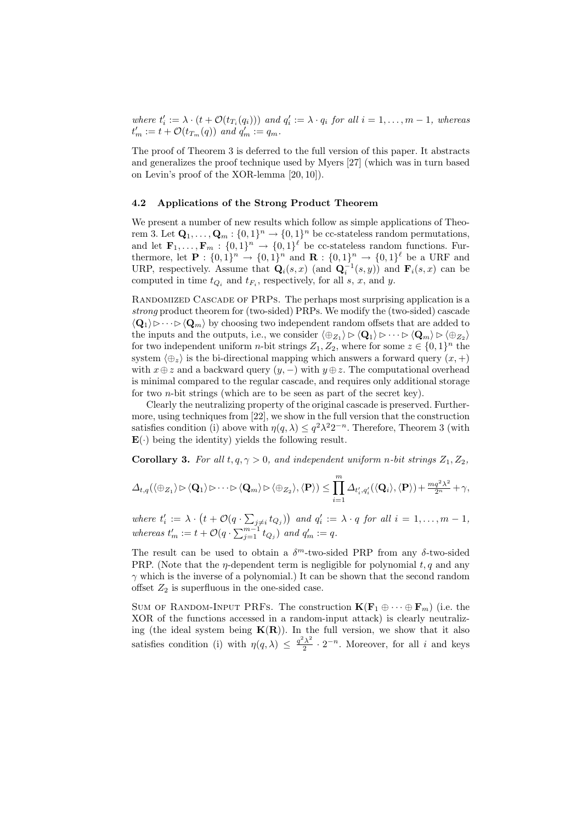where  $t'_i := \lambda \cdot (t + \mathcal{O}(t_{T_i}(q_i)))$  and  $q'_i := \lambda \cdot q_i$  for all  $i = 1, ..., m - 1$ , whereas  $t'_m := t + \mathcal{O}(t_{T_m}(q))$  and  $q'_m := q_m$ .

The proof of Theorem 3 is deferred to the full version of this paper. It abstracts and generalizes the proof technique used by Myers [27] (which was in turn based on Levin's proof of the XOR-lemma [20, 10]).

### 4.2 Applications of the Strong Product Theorem

We present a number of new results which follow as simple applications of Theorem 3. Let  $\mathbf{Q}_1, \ldots, \mathbf{Q}_m : \{0,1\}^n \to \{0,1\}^n$  be cc-stateless random permutations, and let  $\mathbf{F}_1,\ldots,\mathbf{F}_m: \{0,1\}^n \to \{0,1\}^{\ell}$  be cc-stateless random functions. Furthermore, let  $\mathbf{P}: \{0,1\}^n \to \{0,1\}^n$  and  $\mathbf{R}: \{0,1\}^n \to \{0,1\}^{\ell}$  be a URF and URP, respectively. Assume that  $\mathbf{Q}_i(s,x)$  (and  $\mathbf{Q}_i^{-1}(s,y)$ ) and  $\mathbf{F}_i(s,x)$  can be computed in time  $t_{Q_i}$  and  $t_{F_i}$ , respectively, for all s, x, and y.

RANDOMIZED CASCADE OF PRPS. The perhaps most surprising application is a strong product theorem for (two-sided) PRPs. We modify the (two-sided) cascade  $\langle \mathbf{Q}_1 \rangle \triangleright \cdots \triangleright \langle \mathbf{Q}_m \rangle$  by choosing two independent random offsets that are added to the inputs and the outputs, i.e., we consider  $\langle \oplus_{Z_1} \rangle \triangleright \langle \mathbf{Q}_1 \rangle \triangleright \cdots \triangleright \langle \mathbf{Q}_m \rangle \triangleright \langle \oplus_{Z_2} \rangle$ for two independent uniform *n*-bit strings  $Z_1, Z_2$ , where for some  $z \in \{0, 1\}^n$  the system  $\langle \bigoplus_{z} \rangle$  is the bi-directional mapping which answers a forward query  $(x, +)$ with  $x \oplus z$  and a backward query  $(y, -)$  with  $y \oplus z$ . The computational overhead is minimal compared to the regular cascade, and requires only additional storage for two  $n$ -bit strings (which are to be seen as part of the secret key).

Clearly the neutralizing property of the original cascade is preserved. Furthermore, using techniques from [22], we show in the full version that the construction satisfies condition (i) above with  $\eta(q, \lambda) \leq q^2 \lambda^2 2^{-n}$ . Therefore, Theorem 3 (with  $\mathbf{E}(\cdot)$  being the identity) yields the following result.

**Corollary 3.** For all  $t, q, \gamma > 0$ , and independent uniform n-bit strings  $Z_1, Z_2$ ,

$$
\varDelta_{t,q}(\langle \oplus_{Z_1} \rangle \rhd \langle \mathbf{Q}_1 \rangle \rhd \cdots \rhd \langle \mathbf{Q}_m \rangle \rhd \langle \oplus_{Z_2} \rangle, \langle \mathbf{P} \rangle) \leq \prod_{i=1}^m \varDelta_{t'_i,q'_i}(\langle \mathbf{Q}_i \rangle, \langle \mathbf{P} \rangle) + \frac{mq^2\lambda^2}{2^n} + \gamma,
$$

where  $t'_i := \lambda \cdot (t + \mathcal{O}(q \cdot \sum_{j \neq i} t_{Q_j}))$  and  $q'_i := \lambda \cdot q$  for all  $i = 1, \ldots, m - 1$ , whereas  $t'_m := t + \mathcal{O}(q \cdot \sum_{j=1}^{m-1} t_{Q_j})$  and  $q'_m := q$ .

The result can be used to obtain a  $\delta^{m}$ -two-sided PRP from any  $\delta$ -two-sided PRP. (Note that the  $\eta$ -dependent term is negligible for polynomial t, q and any  $\gamma$  which is the inverse of a polynomial.) It can be shown that the second random offset  $Z_2$  is superfluous in the one-sided case.

SUM OF RANDOM-INPUT PRFS. The construction  $K(\mathbf{F}_1 \oplus \cdots \oplus \mathbf{F}_m)$  (i.e. the XOR of the functions accessed in a random-input attack) is clearly neutralizing (the ideal system being  $K(R)$ ). In the full version, we show that it also satisfies condition (i) with  $\eta(q,\lambda) \leq \frac{q^2\lambda^2}{2}$  $\frac{i\lambda^2}{2} \cdot 2^{-n}$ . Moreover, for all i and keys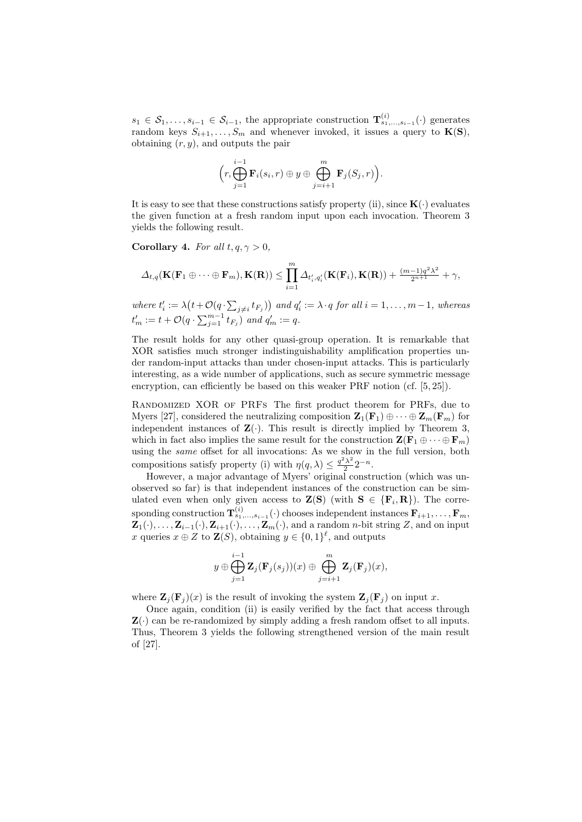$s_1 \in S_1, \ldots, s_{i-1} \in S_{i-1}$ , the appropriate construction  $\mathbf{T}_{s_1,\ldots,s_{i-1}}^{(i)}(\cdot)$  generates random keys  $S_{i+1}, \ldots, S_m$  and whenever invoked, it issues a query to  $K(S)$ , obtaining  $(r, y)$ , and outputs the pair

$$
\Big(r,\bigoplus_{j=1}^{i-1} \mathbf{F}_i(s_i,r) \oplus y \oplus \bigoplus_{j=i+1}^{m} \mathbf{F}_j(S_j,r)\Big).
$$

It is easy to see that these constructions satisfy property (ii), since  $K(\cdot)$  evaluates the given function at a fresh random input upon each invocation. Theorem 3 yields the following result.

Corollary 4. For all  $t, q, \gamma > 0$ ,

$$
\Delta_{t,q}(\mathbf{K}(\mathbf{F}_1 \oplus \cdots \oplus \mathbf{F}_m), \mathbf{K}(\mathbf{R})) \leq \prod_{i=1}^m \Delta_{t'_i,q'_i}(\mathbf{K}(\mathbf{F}_i), \mathbf{K}(\mathbf{R})) + \frac{(m-1)q^2\lambda^2}{2^{n+1}} + \gamma,
$$

where  $t'_i := \lambda \big(t + \mathcal{O}(q \cdot \sum_{j \neq i} t_{F_j})\big)$  and  $q'_i := \lambda \cdot q$  for all  $i = 1, \ldots, m-1$ , whereas  $t'_m := t + \mathcal{O}(q \cdot \sum_{j=1}^{m-1} t_{F_j})$  and  $q'_m := q$ .

The result holds for any other quasi-group operation. It is remarkable that XOR satisfies much stronger indistinguishability amplification properties under random-input attacks than under chosen-input attacks. This is particularly interesting, as a wide number of applications, such as secure symmetric message encryption, can efficiently be based on this weaker PRF notion (cf. [5, 25]).

RANDOMIZED XOR OF PRFS The first product theorem for PRFs, due to Myers [27], considered the neutralizing composition  $\mathbf{Z}_1(\mathbf{F}_1) \oplus \cdots \oplus \mathbf{Z}_m(\mathbf{F}_m)$  for independent instances of  $\mathbf{Z}(\cdot)$ . This result is directly implied by Theorem 3, which in fact also implies the same result for the construction  $\mathbf{Z}(\mathbf{F}_1 \oplus \cdots \oplus \mathbf{F}_m)$ using the same offset for all invocations: As we show in the full version, both compositions satisfy property (i) with  $\eta(q,\lambda) \leq \frac{q^2\lambda^2}{2}$  $\frac{\lambda^2}{2} 2^{-n}$ .

However, a major advantage of Myers' original construction (which was unobserved so far) is that independent instances of the construction can be simulated even when only given access to  $\mathbf{Z}(\mathbf{S})$  (with  $\mathbf{S} \in \{\mathbf{F}_i, \mathbf{R}\}\)$ ). The corre- $\operatorname{sponding}\ \text{construction}\ \mathbf{T}^{(i)}_{s_1,...,s_{i-1}}(\cdot)\ \text{chooses}\ \text{independent}\ \text{instances}\ \mathbf{F}_{i+1},\dots,\mathbf{F}_{m},$  $\mathbf{Z}_1(\cdot), \ldots, \mathbf{Z}_{i-1}(\cdot), \mathbf{Z}_{i+1}(\cdot), \ldots, \mathbf{Z}_m(\cdot)$ , and a random *n*-bit string Z, and on input x queries  $x \oplus Z$  to  $\mathbf{Z}(S)$ , obtaining  $y \in \{0,1\}^{\ell}$ , and outputs

$$
y \oplus \bigoplus_{j=1}^{i-1} \mathbf{Z}_j(\mathbf{F}_j(s_j))(x) \oplus \bigoplus_{j=i+1}^m \mathbf{Z}_j(\mathbf{F}_j)(x),
$$

where  $\mathbf{Z}_i(\mathbf{F}_i)(x)$  is the result of invoking the system  $\mathbf{Z}_i(\mathbf{F}_i)$  on input x.

Once again, condition (ii) is easily verified by the fact that access through  $\mathbf{Z}(\cdot)$  can be re-randomized by simply adding a fresh random offset to all inputs. Thus, Theorem 3 yields the following strengthened version of the main result of [27].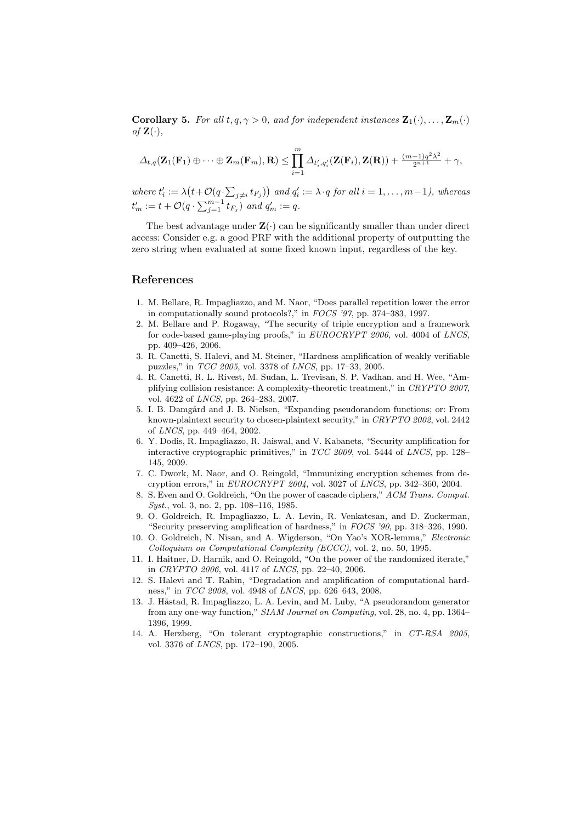**Corollary 5.** For all  $t, q, \gamma > 0$ , and for independent instances  $\mathbf{Z}_1(\cdot), \ldots, \mathbf{Z}_m(\cdot)$ of  $\mathbf{Z}(\cdot),$ 

$$
\varDelta_{t,q}(\mathbf{Z}_1(\mathbf{F}_1) \oplus \cdots \oplus \mathbf{Z}_m(\mathbf{F}_m),\mathbf{R}) \leq \prod_{i=1}^m \varDelta_{t_i',q_i'}(\mathbf{Z}(\mathbf{F}_i),\mathbf{Z}(\mathbf{R})) + \frac{(m-1)q^2\lambda^2}{2^{n+1}} + \gamma,
$$

where  $t'_i := \lambda \big(t + \mathcal{O}(q \cdot \sum_{j \neq i} t_{F_j})\big)$  and  $q'_i := \lambda \cdot q$  for all  $i = 1, \ldots, m-1$ ), whereas  $t'_{m} := t + \mathcal{O}(q \cdot \sum_{j=1}^{m-1} t_{F_j})$  and  $q'_{m} := q$ .

The best advantage under  $\mathbf{Z}(\cdot)$  can be significantly smaller than under direct access: Consider e.g. a good PRF with the additional property of outputting the zero string when evaluated at some fixed known input, regardless of the key.

### References

- 1. M. Bellare, R. Impagliazzo, and M. Naor, "Does parallel repetition lower the error in computationally sound protocols?," in FOCS '97, pp. 374–383, 1997.
- 2. M. Bellare and P. Rogaway, "The security of triple encryption and a framework for code-based game-playing proofs," in EUROCRYPT 2006, vol. 4004 of LNCS, pp. 409–426, 2006.
- 3. R. Canetti, S. Halevi, and M. Steiner, "Hardness amplification of weakly verifiable puzzles," in TCC 2005, vol. 3378 of LNCS, pp. 17–33, 2005.
- 4. R. Canetti, R. L. Rivest, M. Sudan, L. Trevisan, S. P. Vadhan, and H. Wee, "Amplifying collision resistance: A complexity-theoretic treatment," in CRYPTO 2007, vol. 4622 of LNCS, pp. 264–283, 2007.
- 5. I. B. Damgård and J. B. Nielsen, "Expanding pseudorandom functions; or: From known-plaintext security to chosen-plaintext security," in CRYPTO 2002, vol. 2442 of LNCS, pp. 449–464, 2002.
- 6. Y. Dodis, R. Impagliazzo, R. Jaiswal, and V. Kabanets, "Security amplification for interactive cryptographic primitives," in TCC 2009, vol. 5444 of LNCS, pp. 128– 145, 2009.
- 7. C. Dwork, M. Naor, and O. Reingold, "Immunizing encryption schemes from decryption errors," in EUROCRYPT 2004, vol. 3027 of LNCS, pp. 342–360, 2004.
- 8. S. Even and O. Goldreich, "On the power of cascade ciphers," ACM Trans. Comput. Syst., vol. 3, no. 2, pp. 108–116, 1985.
- 9. O. Goldreich, R. Impagliazzo, L. A. Levin, R. Venkatesan, and D. Zuckerman, "Security preserving amplification of hardness," in FOCS '90, pp. 318–326, 1990.
- 10. O. Goldreich, N. Nisan, and A. Wigderson, "On Yao's XOR-lemma," Electronic Colloquium on Computational Complexity (ECCC), vol. 2, no. 50, 1995.
- 11. I. Haitner, D. Harnik, and O. Reingold, "On the power of the randomized iterate," in CRYPTO 2006, vol. 4117 of LNCS, pp. 22–40, 2006.
- 12. S. Halevi and T. Rabin, "Degradation and amplification of computational hardness," in TCC 2008, vol. 4948 of LNCS, pp. 626–643, 2008.
- 13. J. Håstad, R. Impagliazzo, L. A. Levin, and M. Luby, "A pseudorandom generator from any one-way function," SIAM Journal on Computing, vol. 28, no. 4, pp. 1364– 1396, 1999.
- 14. A. Herzberg, "On tolerant cryptographic constructions," in CT-RSA 2005, vol. 3376 of LNCS, pp. 172–190, 2005.